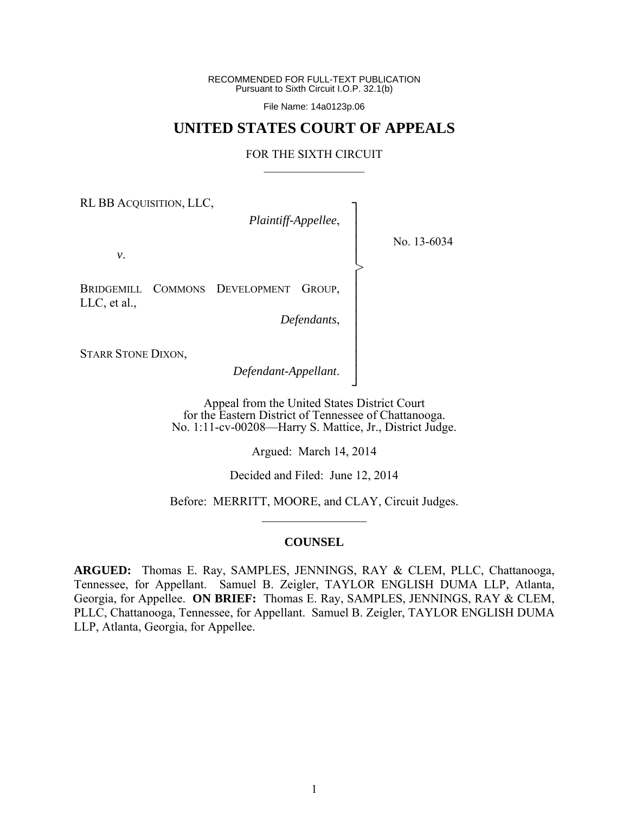RECOMMENDED FOR FULL-TEXT PUBLICATION Pursuant to Sixth Circuit I.O.P. 32.1(b)

File Name: 14a0123p.06

# **UNITED STATES COURT OF APPEALS**

#### FOR THE SIXTH CIRCUIT  $\mathcal{L}_\text{max}$

┐ │ │ │ │ │ │ │ │ │ │ │ │ ┘

>

RL BB ACQUISITION, LLC,

*Plaintiff-Appellee*,

No. 13-6034

*v*.

BRIDGEMILL COMMONS DEVELOPMENT GROUP, LLC, et al.,

*Defendants*,

STARR STONE DIXON,

*Defendant-Appellant*.

Appeal from the United States District Court for the Eastern District of Tennessee of Chattanooga. No. 1:11-cv-00208—Harry S. Mattice, Jr., District Judge.

Argued: March 14, 2014

Decided and Filed: June 12, 2014

Before: MERRITT, MOORE, and CLAY, Circuit Judges.  $\frac{1}{2}$ 

#### **COUNSEL**

**ARGUED:** Thomas E. Ray, SAMPLES, JENNINGS, RAY & CLEM, PLLC, Chattanooga, Tennessee, for Appellant. Samuel B. Zeigler, TAYLOR ENGLISH DUMA LLP, Atlanta, Georgia, for Appellee. **ON BRIEF:** Thomas E. Ray, SAMPLES, JENNINGS, RAY & CLEM, PLLC, Chattanooga, Tennessee, for Appellant. Samuel B. Zeigler, TAYLOR ENGLISH DUMA LLP, Atlanta, Georgia, for Appellee.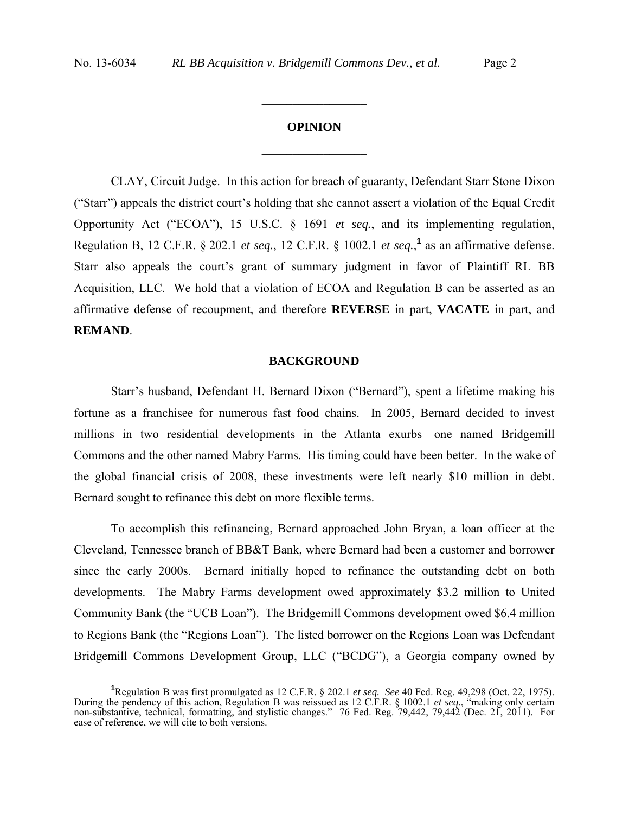# **OPINION**  $\frac{1}{2}$

 $\frac{1}{2}$ 

CLAY, Circuit Judge.In this action for breach of guaranty, Defendant Starr Stone Dixon ("Starr") appeals the district court's holding that she cannot assert a violation of the Equal Credit Opportunity Act ("ECOA"), 15 U.S.C. § 1691 *et seq.*, and its implementing regulation, Regulation B, 12 C.F.R.  $\S$  202.1 *et seq.*, 12 C.F.R.  $\S$  1002.1 *et seq.*,<sup>1</sup> as an affirmative defense. Starr also appeals the court's grant of summary judgment in favor of Plaintiff RL BB Acquisition, LLC. We hold that a violation of ECOA and Regulation B can be asserted as an affirmative defense of recoupment, and therefore **REVERSE** in part, **VACATE** in part, and **REMAND**.

#### **BACKGROUND**

Starr's husband, Defendant H. Bernard Dixon ("Bernard"), spent a lifetime making his fortune as a franchisee for numerous fast food chains. In 2005, Bernard decided to invest millions in two residential developments in the Atlanta exurbs—one named Bridgemill Commons and the other named Mabry Farms. His timing could have been better. In the wake of the global financial crisis of 2008, these investments were left nearly \$10 million in debt. Bernard sought to refinance this debt on more flexible terms.

To accomplish this refinancing, Bernard approached John Bryan, a loan officer at the Cleveland, Tennessee branch of BB&T Bank, where Bernard had been a customer and borrower since the early 2000s. Bernard initially hoped to refinance the outstanding debt on both developments. The Mabry Farms development owed approximately \$3.2 million to United Community Bank (the "UCB Loan"). The Bridgemill Commons development owed \$6.4 million to Regions Bank (the "Regions Loan"). The listed borrower on the Regions Loan was Defendant Bridgemill Commons Development Group, LLC ("BCDG"), a Georgia company owned by

**<sup>1</sup>** Regulation B was first promulgated as 12 C.F.R. § 202.1 *et seq. See* 40 Fed. Reg. 49,298 (Oct. 22, 1975). During the pendency of this action, Regulation B was reissued as 12 C.F.R. § 1002.1 *et seq.*, "making only certain non-substantive, technical, formatting, and stylistic changes." 76 Fed. Reg. 79,442, 79,442 (Dec. 21, 2011). For ease of reference, we will cite to both versions.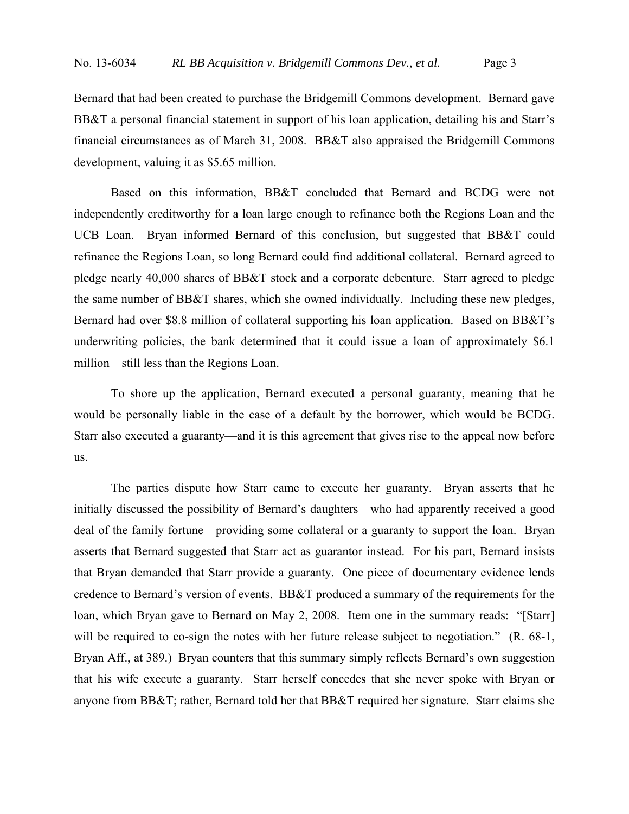Bernard that had been created to purchase the Bridgemill Commons development. Bernard gave BB&T a personal financial statement in support of his loan application, detailing his and Starr's financial circumstances as of March 31, 2008. BB&T also appraised the Bridgemill Commons development, valuing it as \$5.65 million.

Based on this information, BB&T concluded that Bernard and BCDG were not independently creditworthy for a loan large enough to refinance both the Regions Loan and the UCB Loan. Bryan informed Bernard of this conclusion, but suggested that BB&T could refinance the Regions Loan, so long Bernard could find additional collateral. Bernard agreed to pledge nearly 40,000 shares of BB&T stock and a corporate debenture. Starr agreed to pledge the same number of BB&T shares, which she owned individually. Including these new pledges, Bernard had over \$8.8 million of collateral supporting his loan application. Based on BB&T's underwriting policies, the bank determined that it could issue a loan of approximately \$6.1 million—still less than the Regions Loan.

To shore up the application, Bernard executed a personal guaranty, meaning that he would be personally liable in the case of a default by the borrower, which would be BCDG. Starr also executed a guaranty—and it is this agreement that gives rise to the appeal now before us.

The parties dispute how Starr came to execute her guaranty. Bryan asserts that he initially discussed the possibility of Bernard's daughters—who had apparently received a good deal of the family fortune—providing some collateral or a guaranty to support the loan. Bryan asserts that Bernard suggested that Starr act as guarantor instead. For his part, Bernard insists that Bryan demanded that Starr provide a guaranty. One piece of documentary evidence lends credence to Bernard's version of events. BB&T produced a summary of the requirements for the loan, which Bryan gave to Bernard on May 2, 2008. Item one in the summary reads: "[Starr] will be required to co-sign the notes with her future release subject to negotiation." (R. 68-1, Bryan Aff., at 389.) Bryan counters that this summary simply reflects Bernard's own suggestion that his wife execute a guaranty. Starr herself concedes that she never spoke with Bryan or anyone from BB&T; rather, Bernard told her that BB&T required her signature. Starr claims she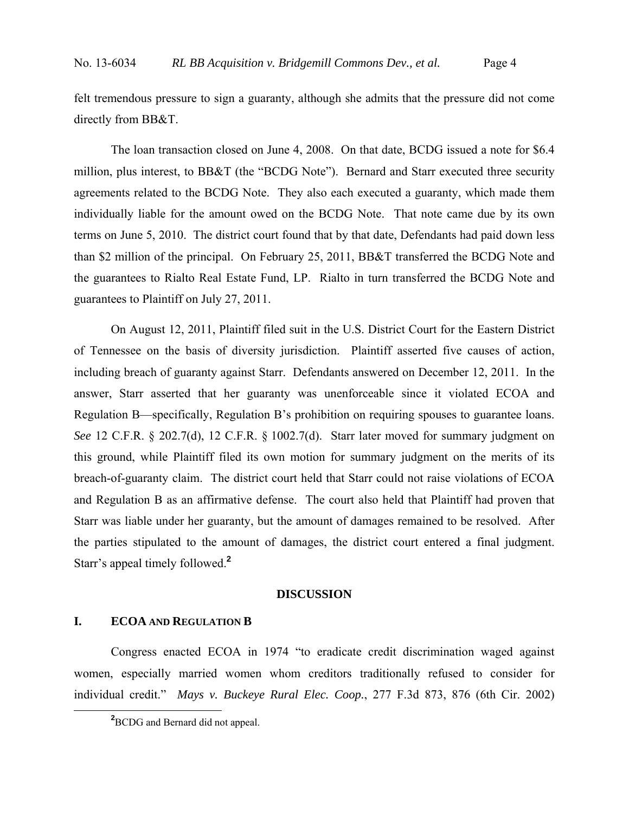felt tremendous pressure to sign a guaranty, although she admits that the pressure did not come directly from BB&T.

The loan transaction closed on June 4, 2008. On that date, BCDG issued a note for \$6.4 million, plus interest, to BB&T (the "BCDG Note"). Bernard and Starr executed three security agreements related to the BCDG Note. They also each executed a guaranty, which made them individually liable for the amount owed on the BCDG Note. That note came due by its own terms on June 5, 2010. The district court found that by that date, Defendants had paid down less than \$2 million of the principal. On February 25, 2011, BB&T transferred the BCDG Note and the guarantees to Rialto Real Estate Fund, LP. Rialto in turn transferred the BCDG Note and guarantees to Plaintiff on July 27, 2011.

On August 12, 2011, Plaintiff filed suit in the U.S. District Court for the Eastern District of Tennessee on the basis of diversity jurisdiction. Plaintiff asserted five causes of action, including breach of guaranty against Starr. Defendants answered on December 12, 2011. In the answer, Starr asserted that her guaranty was unenforceable since it violated ECOA and Regulation B—specifically, Regulation B's prohibition on requiring spouses to guarantee loans. *See* 12 C.F.R. § 202.7(d), 12 C.F.R. § 1002.7(d). Starr later moved for summary judgment on this ground, while Plaintiff filed its own motion for summary judgment on the merits of its breach-of-guaranty claim. The district court held that Starr could not raise violations of ECOA and Regulation B as an affirmative defense. The court also held that Plaintiff had proven that Starr was liable under her guaranty, but the amount of damages remained to be resolved. After the parties stipulated to the amount of damages, the district court entered a final judgment. Starr's appeal timely followed.**<sup>2</sup>**

#### **DISCUSSION**

### **I. ECOA AND REGULATION B**

Congress enacted ECOA in 1974 "to eradicate credit discrimination waged against women, especially married women whom creditors traditionally refused to consider for individual credit." *Mays v. Buckeye Rural Elec. Coop.*, 277 F.3d 873, 876 (6th Cir. 2002)

**<sup>2</sup>** <sup>2</sup>BCDG and Bernard did not appeal.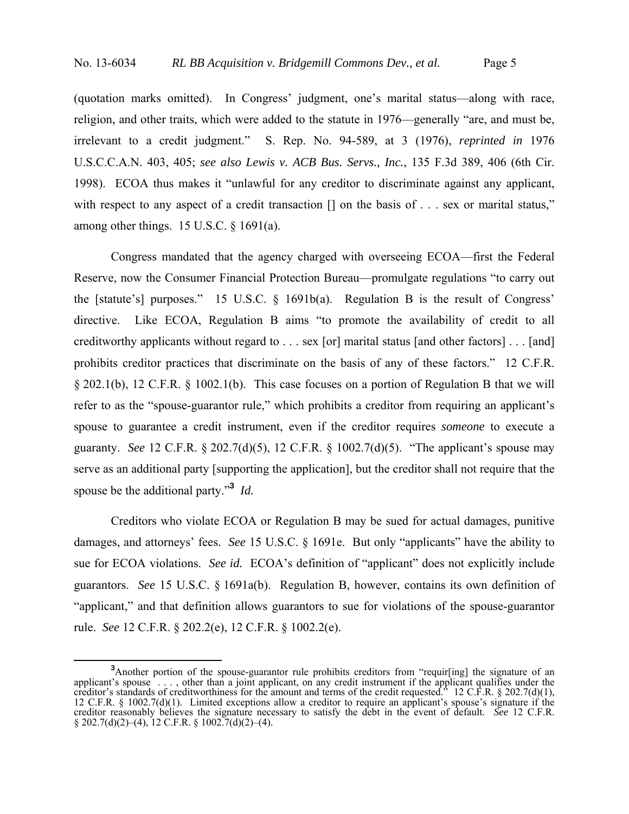(quotation marks omitted). In Congress' judgment, one's marital status—along with race, religion, and other traits, which were added to the statute in 1976—generally "are, and must be, irrelevant to a credit judgment." S. Rep. No. 94-589, at 3 (1976), *reprinted in* 1976 U.S.C.C.A.N. 403, 405; *see also Lewis v. ACB Bus. Servs., Inc.*, 135 F.3d 389, 406 (6th Cir. 1998). ECOA thus makes it "unlawful for any creditor to discriminate against any applicant, with respect to any aspect of a credit transaction  $\Box$  on the basis of . . . sex or marital status," among other things. 15 U.S.C. § 1691(a).

Congress mandated that the agency charged with overseeing ECOA—first the Federal Reserve, now the Consumer Financial Protection Bureau—promulgate regulations "to carry out the [statute's] purposes." 15 U.S.C. § 1691b(a). Regulation B is the result of Congress' directive. Like ECOA, Regulation B aims "to promote the availability of credit to all creditworthy applicants without regard to . . . sex [or] marital status [and other factors] . . . [and] prohibits creditor practices that discriminate on the basis of any of these factors." 12 C.F.R. § 202.1(b), 12 C.F.R. § 1002.1(b). This case focuses on a portion of Regulation B that we will refer to as the "spouse-guarantor rule," which prohibits a creditor from requiring an applicant's spouse to guarantee a credit instrument, even if the creditor requires *someone* to execute a guaranty. *See* 12 C.F.R. § 202.7(d)(5), 12 C.F.R. § 1002.7(d)(5). "The applicant's spouse may serve as an additional party [supporting the application], but the creditor shall not require that the spouse be the additional party."**<sup>3</sup>** *Id.*

Creditors who violate ECOA or Regulation B may be sued for actual damages, punitive damages, and attorneys' fees. *See* 15 U.S.C. § 1691e. But only "applicants" have the ability to sue for ECOA violations. *See id.* ECOA's definition of "applicant" does not explicitly include guarantors. *See* 15 U.S.C. § 1691a(b). Regulation B, however, contains its own definition of "applicant," and that definition allows guarantors to sue for violations of the spouse-guarantor rule. *See* 12 C.F.R. § 202.2(e), 12 C.F.R. § 1002.2(e).

**<sup>3</sup>** <sup>3</sup>Another portion of the spouse-guarantor rule prohibits creditors from "requir[ing] the signature of an applicant's spouse . . . , other than a joint applicant, on any credit instrument if the applicant qualifies under the creditor's standards of creditworthiness for the amount and terms of the credit requested." 12 C.F.R. § 202.7(d)(1), 12 C.F.R. § 1002.7(d)(1). Limited exceptions allow a creditor to require an applicant's spouse's signature if the creditor reasonably believes the signature necessary to satisfy the debt in the event of default. *See* 12 C.F.R.  $§ 202.7(d)(2)–(4), 12$  C.F.R. § 1002.7(d)(2)–(4).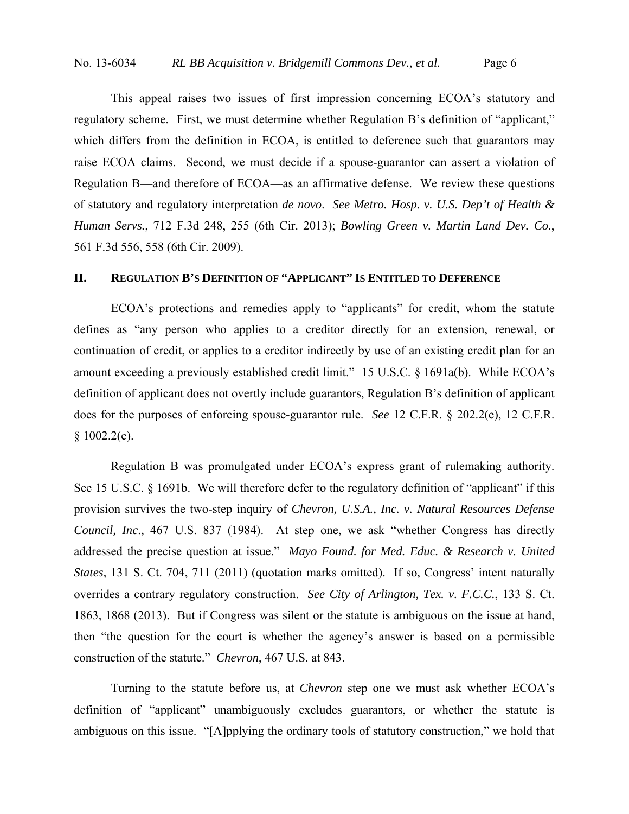This appeal raises two issues of first impression concerning ECOA's statutory and regulatory scheme. First, we must determine whether Regulation B's definition of "applicant," which differs from the definition in ECOA, is entitled to deference such that guarantors may raise ECOA claims. Second, we must decide if a spouse-guarantor can assert a violation of Regulation B—and therefore of ECOA—as an affirmative defense. We review these questions of statutory and regulatory interpretation *de novo*. *See Metro. Hosp. v. U.S. Dep't of Health & Human Servs.*, 712 F.3d 248, 255 (6th Cir. 2013); *Bowling Green v. Martin Land Dev. Co.*, 561 F.3d 556, 558 (6th Cir. 2009).

# **II. REGULATION B'S DEFINITION OF "APPLICANT" IS ENTITLED TO DEFERENCE**

ECOA's protections and remedies apply to "applicants" for credit, whom the statute defines as "any person who applies to a creditor directly for an extension, renewal, or continuation of credit, or applies to a creditor indirectly by use of an existing credit plan for an amount exceeding a previously established credit limit." 15 U.S.C. § 1691a(b). While ECOA's definition of applicant does not overtly include guarantors, Regulation B's definition of applicant does for the purposes of enforcing spouse-guarantor rule. *See* 12 C.F.R. § 202.2(e), 12 C.F.R.  $§ 1002.2(e).$ 

Regulation B was promulgated under ECOA's express grant of rulemaking authority. See 15 U.S.C. § 1691b. We will therefore defer to the regulatory definition of "applicant" if this provision survives the two-step inquiry of *Chevron, U.S.A., Inc. v. Natural Resources Defense Council, Inc*., 467 U.S. 837 (1984). At step one, we ask "whether Congress has directly addressed the precise question at issue." *Mayo Found. for Med. Educ. & Research v. United States*, 131 S. Ct. 704, 711 (2011) (quotation marks omitted). If so, Congress' intent naturally overrides a contrary regulatory construction. *See City of Arlington, Tex. v. F.C.C.*, 133 S. Ct. 1863, 1868 (2013). But if Congress was silent or the statute is ambiguous on the issue at hand, then "the question for the court is whether the agency's answer is based on a permissible construction of the statute." *Chevron*, 467 U.S. at 843.

Turning to the statute before us, at *Chevron* step one we must ask whether ECOA's definition of "applicant" unambiguously excludes guarantors, or whether the statute is ambiguous on this issue. "[A]pplying the ordinary tools of statutory construction," we hold that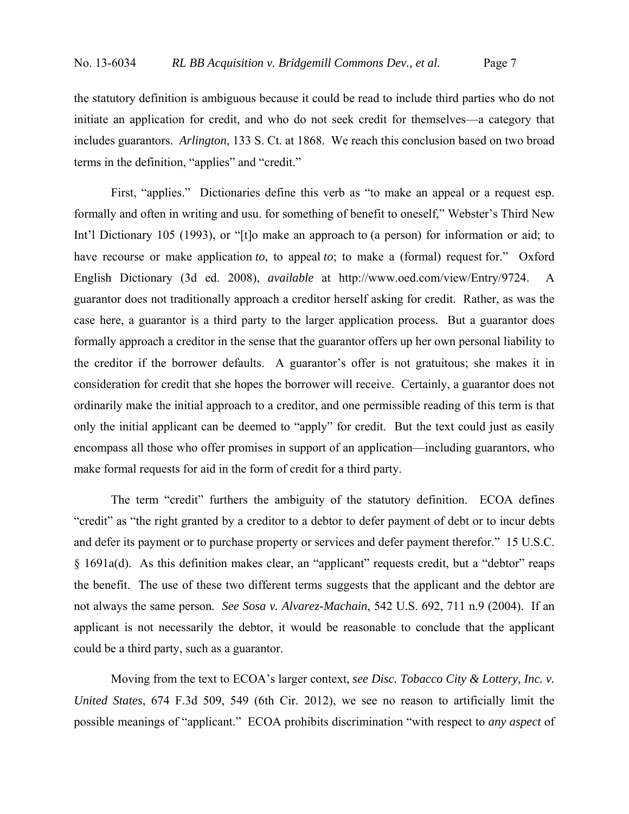the statutory definition is ambiguous because it could be read to include third parties who do not initiate an application for credit, and who do not seek credit for themselves—a category that includes guarantors. *Arlington*, 133 S. Ct. at 1868. We reach this conclusion based on two broad terms in the definition, "applies" and "credit."

First, "applies." Dictionaries define this verb as "to make an appeal or a request esp. formally and often in writing and usu. for something of benefit to oneself," Webster's Third New Int'l Dictionary 105 (1993), or "[t]o make an approach to (a person) for information or aid; to have recourse or make application *to*, to appeal *to*; to make a (formal) request for." Oxford English Dictionary (3d ed. 2008), *available* at http://www.oed.com/view/Entry/9724. A guarantor does not traditionally approach a creditor herself asking for credit. Rather, as was the case here, a guarantor is a third party to the larger application process. But a guarantor does formally approach a creditor in the sense that the guarantor offers up her own personal liability to the creditor if the borrower defaults. A guarantor's offer is not gratuitous; she makes it in consideration for credit that she hopes the borrower will receive. Certainly, a guarantor does not ordinarily make the initial approach to a creditor, and one permissible reading of this term is that only the initial applicant can be deemed to "apply" for credit. But the text could just as easily encompass all those who offer promises in support of an application—including guarantors, who make formal requests for aid in the form of credit for a third party.

The term "credit" furthers the ambiguity of the statutory definition. ECOA defines "credit" as "the right granted by a creditor to a debtor to defer payment of debt or to incur debts and defer its payment or to purchase property or services and defer payment therefor." 15 U.S.C. § 1691a(d). As this definition makes clear, an "applicant" requests credit, but a "debtor" reaps the benefit. The use of these two different terms suggests that the applicant and the debtor are not always the same person. *See Sosa v. Alvarez-Machain*, 542 U.S. 692, 711 n.9 (2004). If an applicant is not necessarily the debtor, it would be reasonable to conclude that the applicant could be a third party, such as a guarantor.

Moving from the text to ECOA's larger context, *see Disc. Tobacco City & Lottery, Inc. v. United States*, 674 F.3d 509, 549 (6th Cir. 2012), we see no reason to artificially limit the possible meanings of "applicant." ECOA prohibits discrimination "with respect to *any aspect* of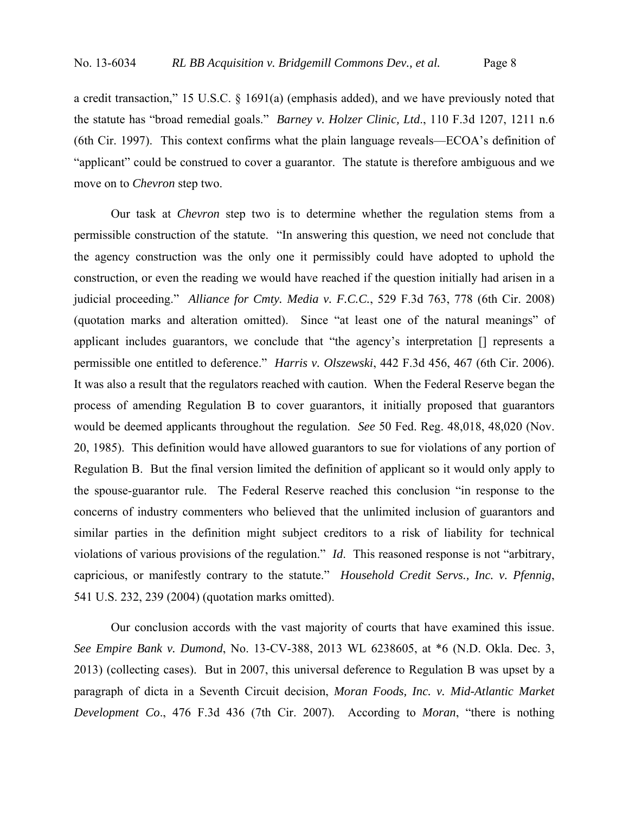a credit transaction," 15 U.S.C. § 1691(a) (emphasis added), and we have previously noted that the statute has "broad remedial goals." *Barney v. Holzer Clinic, Ltd*., 110 F.3d 1207, 1211 n.6 (6th Cir. 1997). This context confirms what the plain language reveals—ECOA's definition of "applicant" could be construed to cover a guarantor. The statute is therefore ambiguous and we move on to *Chevron* step two.

Our task at *Chevron* step two is to determine whether the regulation stems from a permissible construction of the statute. "In answering this question, we need not conclude that the agency construction was the only one it permissibly could have adopted to uphold the construction, or even the reading we would have reached if the question initially had arisen in a judicial proceeding." *Alliance for Cmty. Media v. F.C.C.*, 529 F.3d 763, 778 (6th Cir. 2008) (quotation marks and alteration omitted). Since "at least one of the natural meanings" of applicant includes guarantors, we conclude that "the agency's interpretation [] represents a permissible one entitled to deference." *Harris v. Olszewski*, 442 F.3d 456, 467 (6th Cir. 2006). It was also a result that the regulators reached with caution. When the Federal Reserve began the process of amending Regulation B to cover guarantors, it initially proposed that guarantors would be deemed applicants throughout the regulation. *See* 50 Fed. Reg. 48,018, 48,020 (Nov. 20, 1985). This definition would have allowed guarantors to sue for violations of any portion of Regulation B. But the final version limited the definition of applicant so it would only apply to the spouse-guarantor rule. The Federal Reserve reached this conclusion "in response to the concerns of industry commenters who believed that the unlimited inclusion of guarantors and similar parties in the definition might subject creditors to a risk of liability for technical violations of various provisions of the regulation." *Id*. This reasoned response is not "arbitrary, capricious, or manifestly contrary to the statute." *Household Credit Servs., Inc. v. Pfennig*, 541 U.S. 232, 239 (2004) (quotation marks omitted).

Our conclusion accords with the vast majority of courts that have examined this issue. *See Empire Bank v. Dumond*, No. 13-CV-388, 2013 WL 6238605, at \*6 (N.D. Okla. Dec. 3, 2013) (collecting cases). But in 2007, this universal deference to Regulation B was upset by a paragraph of dicta in a Seventh Circuit decision, *Moran Foods, Inc. v. Mid-Atlantic Market Development Co*., 476 F.3d 436 (7th Cir. 2007). According to *Moran*, "there is nothing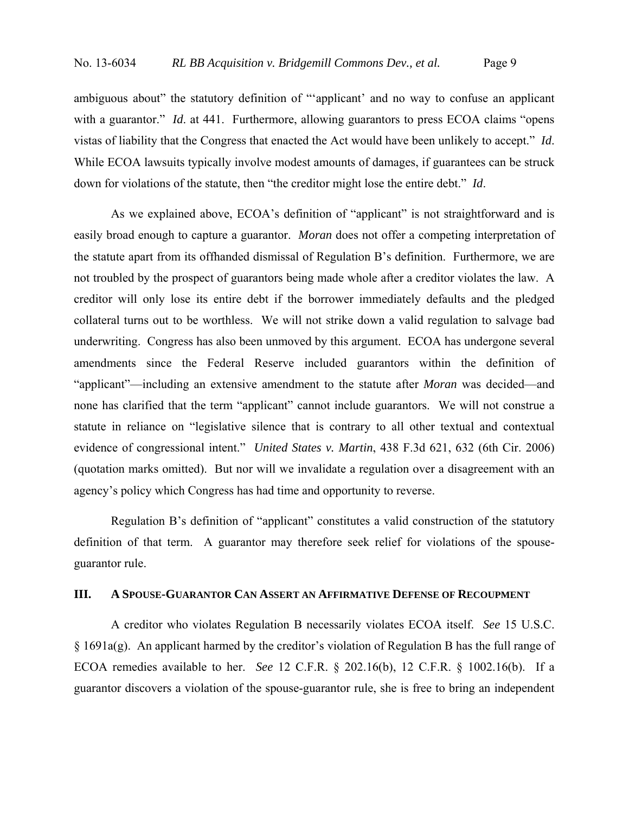ambiguous about" the statutory definition of "'applicant' and no way to confuse an applicant with a guarantor." *Id.* at 441. Furthermore, allowing guarantors to press ECOA claims "opens" vistas of liability that the Congress that enacted the Act would have been unlikely to accept." *Id*. While ECOA lawsuits typically involve modest amounts of damages, if guarantees can be struck down for violations of the statute, then "the creditor might lose the entire debt." *Id*.

As we explained above, ECOA's definition of "applicant" is not straightforward and is easily broad enough to capture a guarantor. *Moran* does not offer a competing interpretation of the statute apart from its offhanded dismissal of Regulation B's definition. Furthermore, we are not troubled by the prospect of guarantors being made whole after a creditor violates the law. A creditor will only lose its entire debt if the borrower immediately defaults and the pledged collateral turns out to be worthless. We will not strike down a valid regulation to salvage bad underwriting. Congress has also been unmoved by this argument. ECOA has undergone several amendments since the Federal Reserve included guarantors within the definition of "applicant"—including an extensive amendment to the statute after *Moran* was decided—and none has clarified that the term "applicant" cannot include guarantors. We will not construe a statute in reliance on "legislative silence that is contrary to all other textual and contextual evidence of congressional intent." *United States v. Martin*, 438 F.3d 621, 632 (6th Cir. 2006) (quotation marks omitted). But nor will we invalidate a regulation over a disagreement with an agency's policy which Congress has had time and opportunity to reverse.

Regulation B's definition of "applicant" constitutes a valid construction of the statutory definition of that term. A guarantor may therefore seek relief for violations of the spouseguarantor rule.

# **III. A SPOUSE-GUARANTOR CAN ASSERT AN AFFIRMATIVE DEFENSE OF RECOUPMENT**

A creditor who violates Regulation B necessarily violates ECOA itself. *See* 15 U.S.C. § 1691a(g). An applicant harmed by the creditor's violation of Regulation B has the full range of ECOA remedies available to her. *See* 12 C.F.R. § 202.16(b), 12 C.F.R. § 1002.16(b). If a guarantor discovers a violation of the spouse-guarantor rule, she is free to bring an independent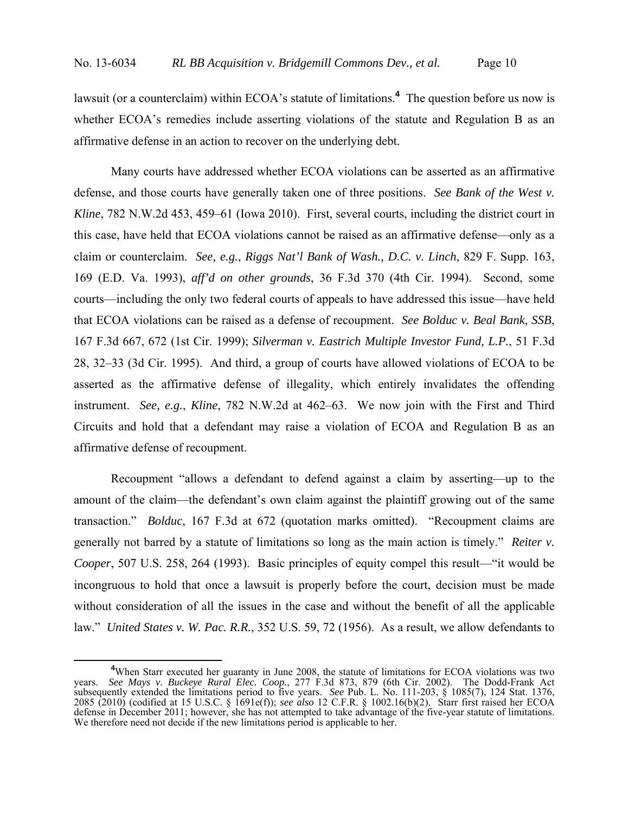lawsuit (or a counterclaim) within ECOA's statute of limitations.**<sup>4</sup>** The question before us now is whether ECOA's remedies include asserting violations of the statute and Regulation B as an affirmative defense in an action to recover on the underlying debt.

Many courts have addressed whether ECOA violations can be asserted as an affirmative defense, and those courts have generally taken one of three positions. *See Bank of the West v. Kline*, 782 N.W.2d 453, 459–61 (Iowa 2010). First, several courts, including the district court in this case, have held that ECOA violations cannot be raised as an affirmative defense—only as a claim or counterclaim. *See, e.g.*, *Riggs Nat'l Bank of Wash., D.C. v. Linch*, 829 F. Supp. 163, 169 (E.D. Va. 1993), *aff'd on other grounds*, 36 F.3d 370 (4th Cir. 1994). Second, some courts—including the only two federal courts of appeals to have addressed this issue—have held that ECOA violations can be raised as a defense of recoupment. *See Bolduc v. Beal Bank, SSB*, 167 F.3d 667, 672 (1st Cir. 1999); *Silverman v. Eastrich Multiple Investor Fund, L.P.*, 51 F.3d 28, 32–33 (3d Cir. 1995). And third, a group of courts have allowed violations of ECOA to be asserted as the affirmative defense of illegality, which entirely invalidates the offending instrument. *See, e.g.*, *Kline*, 782 N.W.2d at 462–63. We now join with the First and Third Circuits and hold that a defendant may raise a violation of ECOA and Regulation B as an affirmative defense of recoupment.

Recoupment "allows a defendant to defend against a claim by asserting—up to the amount of the claim—the defendant's own claim against the plaintiff growing out of the same transaction." *Bolduc*, 167 F.3d at 672 (quotation marks omitted). "Recoupment claims are generally not barred by a statute of limitations so long as the main action is timely." *Reiter v. Cooper*, 507 U.S. 258, 264 (1993). Basic principles of equity compel this result—"it would be incongruous to hold that once a lawsuit is properly before the court, decision must be made without consideration of all the issues in the case and without the benefit of all the applicable law." *United States v. W. Pac. R.R.*, 352 U.S. 59, 72 (1956). As a result, we allow defendants to

**<sup>4</sup>** <sup>4</sup>When Starr executed her guaranty in June 2008, the statute of limitations for ECOA violations was two years. *See Mays v. Buckeye Rural Elec. Coop.*, 277 F.3d 873, 879 (6th Cir. 2002). The Dodd-Frank Act subsequently extended the limitations period to five years. *See* Pub. L. No. 111-203, § 1085(7), 124 Stat. 1376, 2085 (2010) (codified at 15 U.S.C. § 1691e(f)); *see also* 12 C.F.R. § 1002.16(b)(2). Starr first raised her ECOA defense in December 2011; however, she has not attempted to take advantage of the five-year statute of limitations. We therefore need not decide if the new limitations period is applicable to her.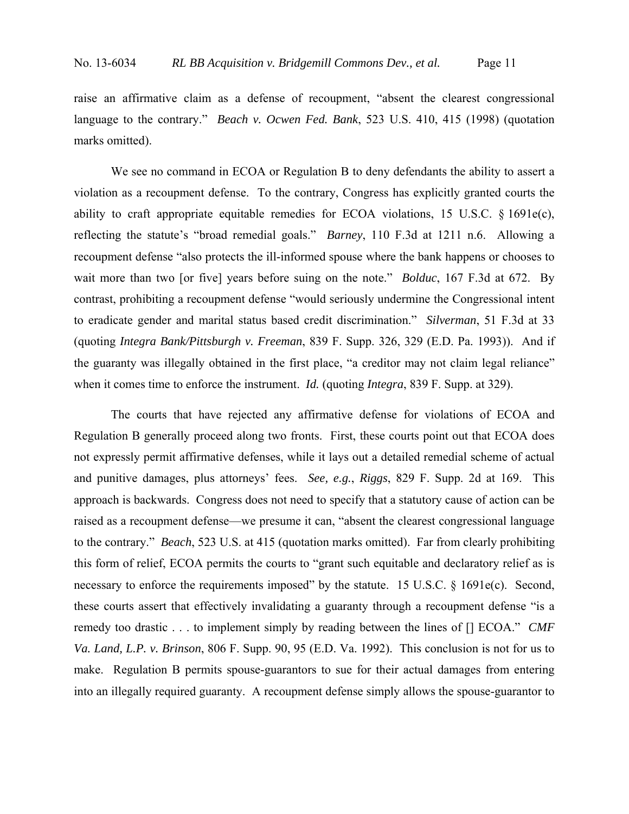raise an affirmative claim as a defense of recoupment, "absent the clearest congressional language to the contrary." *Beach v. Ocwen Fed. Bank*, 523 U.S. 410, 415 (1998) (quotation marks omitted).

We see no command in ECOA or Regulation B to deny defendants the ability to assert a violation as a recoupment defense. To the contrary, Congress has explicitly granted courts the ability to craft appropriate equitable remedies for ECOA violations, 15 U.S.C.  $\S$  1691e(c), reflecting the statute's "broad remedial goals." *Barney*, 110 F.3d at 1211 n.6. Allowing a recoupment defense "also protects the ill-informed spouse where the bank happens or chooses to wait more than two [or five] years before suing on the note." *Bolduc*, 167 F.3d at 672. By contrast, prohibiting a recoupment defense "would seriously undermine the Congressional intent to eradicate gender and marital status based credit discrimination." *Silverman*, 51 F.3d at 33 (quoting *Integra Bank/Pittsburgh v. Freeman*, 839 F. Supp. 326, 329 (E.D. Pa. 1993)). And if the guaranty was illegally obtained in the first place, "a creditor may not claim legal reliance" when it comes time to enforce the instrument. *Id.* (quoting *Integra*, 839 F. Supp. at 329).

The courts that have rejected any affirmative defense for violations of ECOA and Regulation B generally proceed along two fronts. First, these courts point out that ECOA does not expressly permit affirmative defenses, while it lays out a detailed remedial scheme of actual and punitive damages, plus attorneys' fees. *See, e.g.*, *Riggs*, 829 F. Supp. 2d at 169. This approach is backwards. Congress does not need to specify that a statutory cause of action can be raised as a recoupment defense—we presume it can, "absent the clearest congressional language to the contrary." *Beach*, 523 U.S. at 415 (quotation marks omitted). Far from clearly prohibiting this form of relief, ECOA permits the courts to "grant such equitable and declaratory relief as is necessary to enforce the requirements imposed" by the statute. 15 U.S.C. § 1691e(c). Second, these courts assert that effectively invalidating a guaranty through a recoupment defense "is a remedy too drastic . . . to implement simply by reading between the lines of [] ECOA." *CMF Va. Land, L.P. v. Brinson*, 806 F. Supp. 90, 95 (E.D. Va. 1992). This conclusion is not for us to make. Regulation B permits spouse-guarantors to sue for their actual damages from entering into an illegally required guaranty. A recoupment defense simply allows the spouse-guarantor to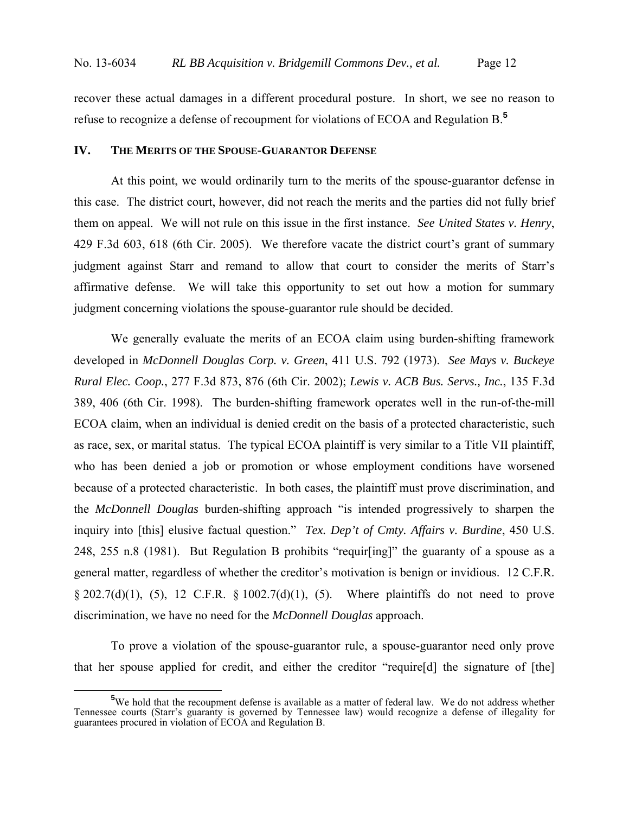recover these actual damages in a different procedural posture. In short, we see no reason to refuse to recognize a defense of recoupment for violations of ECOA and Regulation B.**<sup>5</sup>**

# **IV. THE MERITS OF THE SPOUSE-GUARANTOR DEFENSE**

At this point, we would ordinarily turn to the merits of the spouse-guarantor defense in this case. The district court, however, did not reach the merits and the parties did not fully brief them on appeal. We will not rule on this issue in the first instance. *See United States v. Henry*, 429 F.3d 603, 618 (6th Cir. 2005). We therefore vacate the district court's grant of summary judgment against Starr and remand to allow that court to consider the merits of Starr's affirmative defense. We will take this opportunity to set out how a motion for summary judgment concerning violations the spouse-guarantor rule should be decided.

We generally evaluate the merits of an ECOA claim using burden-shifting framework developed in *McDonnell Douglas Corp. v. Green*, 411 U.S. 792 (1973). *See Mays v. Buckeye Rural Elec. Coop.*, 277 F.3d 873, 876 (6th Cir. 2002); *Lewis v. ACB Bus. Servs., Inc.*, 135 F.3d 389, 406 (6th Cir. 1998). The burden-shifting framework operates well in the run-of-the-mill ECOA claim, when an individual is denied credit on the basis of a protected characteristic, such as race, sex, or marital status. The typical ECOA plaintiff is very similar to a Title VII plaintiff, who has been denied a job or promotion or whose employment conditions have worsened because of a protected characteristic. In both cases, the plaintiff must prove discrimination, and the *McDonnell Douglas* burden-shifting approach "is intended progressively to sharpen the inquiry into [this] elusive factual question." *Tex. Dep't of Cmty. Affairs v. Burdine*, 450 U.S. 248, 255 n.8 (1981). But Regulation B prohibits "requir[ing]" the guaranty of a spouse as a general matter, regardless of whether the creditor's motivation is benign or invidious. 12 C.F.R.  $\S 202.7(d)(1)$ , (5), 12 C.F.R.  $\S 1002.7(d)(1)$ , (5). Where plaintiffs do not need to prove discrimination, we have no need for the *McDonnell Douglas* approach.

To prove a violation of the spouse-guarantor rule, a spouse-guarantor need only prove that her spouse applied for credit, and either the creditor "require[d] the signature of [the]

**<sup>5</sup>** <sup>5</sup>We hold that the recoupment defense is available as a matter of federal law. We do not address whether Tennessee courts (Starr's guaranty is governed by Tennessee law) would recognize a defense of illegality for guarantees procured in violation of ECOA and Regulation B.